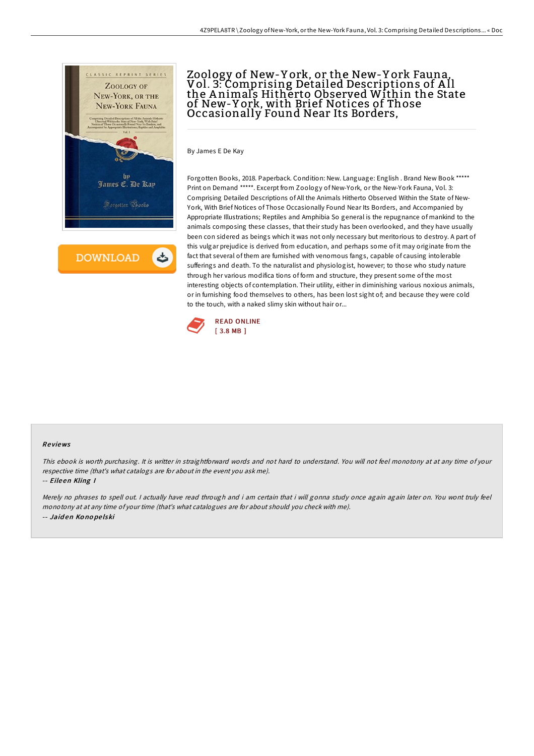

**DOWNLOAD** 

# Zoology of New-Y ork, or the New-Y ork Fauna, Vol. 3: Comprising Detailed Descriptions of A ll the A nimals Hitherto Observed Within the State of New-Y ork, with Brief Notices of Those Occasionally Found Near Its Borders,

By James E De Kay

Forgotten Books, 2018. Paperback. Condition: New. Language: English . Brand New Book \*\*\*\*\* Print on Demand \*\*\*\*\*. Excerpt from Zoology of New-York, or the New-York Fauna, Vol. 3: Comprising Detailed Descriptions of All the Animals Hitherto Observed Within the State of New-York, With Brief Notices of Those Occasionally Found Near Its Borders, and Accompanied by Appropriate Illustrations; Reptiles and Amphibia So general is the repugnance of mankind to the animals composing these classes, that their study has been overlooked, and they have usually been con sidered as beings which it was not only necessary but meritorious to destroy. A part of this vulgar prejudice is derived from education, and perhaps some of it may originate from the fact that several of them are furnished with venomous fangs, capable of causing intolerable sufferings and death. To the naturalist and physiologist, however; to those who study nature through her various modifica tions of form and structure, they present some of the most interesting objects of contemplation. Their utility, either in diminishing various noxious animals, or in furnishing food themselves to others, has been lost sight of; and because they were cold to the touch, with a naked slimy skin without hair or...



#### Re views

This ebook is worth purchasing. It is writter in straightforward words and not hard to understand. You will not feel monotony at at any time of your respective time (that's what catalogs are for about in the event you ask me).

-- Eile en Kling I

Merely no phrases to spell out. <sup>I</sup> actually have read through and i am certain that i will gonna study once again again later on. You wont truly feel monotony at at any time of your time (that's what catalogues are for about should you check with me). -- Jaid en Ko no pe lski